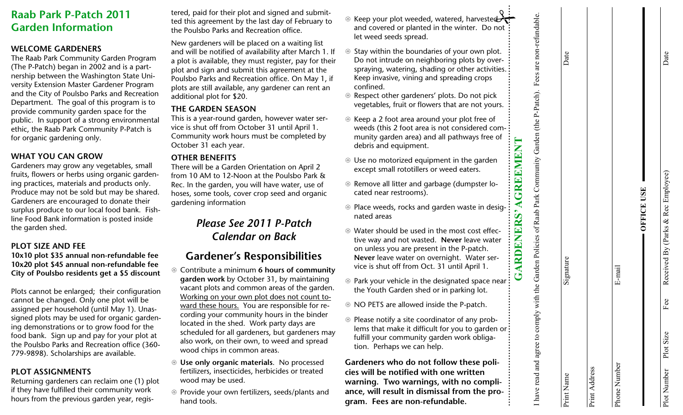## **Raab Park P-Patch 2011 Garden Information**

### **WELCOME GARDENERS**

The Raab Park Community Garden Program (The P-Patch) began in 2002 and is a partnership between the Washington State University Extension Master Gardener Program and the City of Poulsbo Parks and Recreation Department. The goal of this program is to provide community garden space for the public. In support of a strong environmental ethic, the Raab Park Community P-Patch is for organic gardening only.

### **WHAT YOU CAN GROW**

Gardeners may grow any vegetables, small fruits, flowers or herbs using organic gardening practices, materials and products only. Produce may not be sold but may be shared. Gardeners are encouraged to donate their surplus produce to our local food bank. Fishline Food Bank information is posted inside the garden shed.

### **PLOT SIZE AND FEE**

**10x10 plot \$35 annual non-refundable fee 10x20 plot \$45 annual non-refundable fee City of Poulsbo residents get a \$5 discount** 

Plots cannot be enlarged; their configuration cannot be changed. Only one plot will be assigned per household (until May 1). Unassigned plots may be used for organic gardening demonstrations or to grow food for the food bank. Sign up and pay for your plot at the Poulsbo Parks and Recreation office (360- 779-9898). Scholarships are available.

### **PLOT ASSIGNMENTS**

Returning gardeners can reclaim one (1) plot if they have fulfilled their community work hours from the previous garden year, regis-

- Lead for their plot and signed on during the and submitted in the words of the solution of the policies and Recention office. The standard of the placed on a waiting list the velocities of the placed on a waiting list the
- 
- 
- $\circledast$  Keep your plot weeded, watered, harvested ⊕ Keep your plot weeded, watered, harvested<br>and covered or planted in the winter. Do not<br>let weed seeds spread.
- <sup>U</sup>Stay within the boundaries of your own plot. Do not intrude on neighboring plots by over spraying, watering, shading or other activities.<br>
Keep invasive, vining and spreading crops<br>
confined.
- U Respect other gardeners' plots. Do not pick vegetables, fruit or flowers that are not yours.
- <sup>U</sup>Keep a 2 foot area around your plot free of weeds (this 2 foot area is not considered com munity garden area) and all pathways free of debris and equipment.
- U Use no motorized equipment in the garden except small rototillers or weed eaters.
- ® Remove all litter and garbage (dumpster located near restrooms).
- $\circledast$  Place weeds, rocks and garden waste in desig- $\vdots$ nated areas

**GARDENERS' AGREEMENT** 

**RDENER** 

GREEMEN

I have read and agree to comply with the Garden Policies of Raab Park Community Garden (the P-Patch). Fees are non-refundable.

I have read and agree to comply with the Garden Policies of Raab Park Community Garden (the P-Patch).

Fees are non-refundable.

Date

Print Name Signature Date

Signature

Print Name

- $\circledast$  Water should be used in the most cost effective way and not wasted. **Never** leave water on unless you are present in the P-patch. **Never** leave water on overnight. Water ser vice is shut off from Oct. 31 until April 1.
- U Park your vehicle in the designated space near the Youth Garden shed or in parking lot.
- **EX NO PETS are allowed inside the P-patch.**
- $\circledast$  Please notify a site coordinator of any problems that make it difficult for you to garden or fulfill your community garden work obligation. Perhaps we can help.

**Gardeners who do not follow these poli cies will be notified with one written warning. Two warnings, with no compli ance, will result in dismissal from the pro-**

|  |  | <b>CERTICIAL</b> |  |
|--|--|------------------|--|
|  |  |                  |  |

| ħ<br>٢<br>- |  |
|-------------|--|
| ٦           |  |
| ă           |  |

Phone Number E-mail

E-mail

Print Address

Print Address

Date

| į<br>$\overline{\phantom{a}}$                                                                                                                                                                                                                    |
|--------------------------------------------------------------------------------------------------------------------------------------------------------------------------------------------------------------------------------------------------|
| $\ddot{\phantom{0}}$<br>$-22.7$<br>$\vdots$<br>$\overline{a}$<br>í<br>ا<br>،<br>- 11:00 - 11:00 - 11:00 - 11:00 - 12:00 - 12:00 - 12:00 - 12:00 - 12:00 - 12:00 - 12:00 - 12:00 - 12:00 - 12:0<br>$\overline{a}$<br>!<br>ו<br>$\frac{1}{2}$<br>ļ |
| $\frac{1}{2}$                                                                                                                                                                                                                                    |
| ו<br>ג'<br>ļ<br>Ì<br>$\frac{1}{2}$<br>ì<br>1                                                                                                                                                                                                     |
|                                                                                                                                                                                                                                                  |